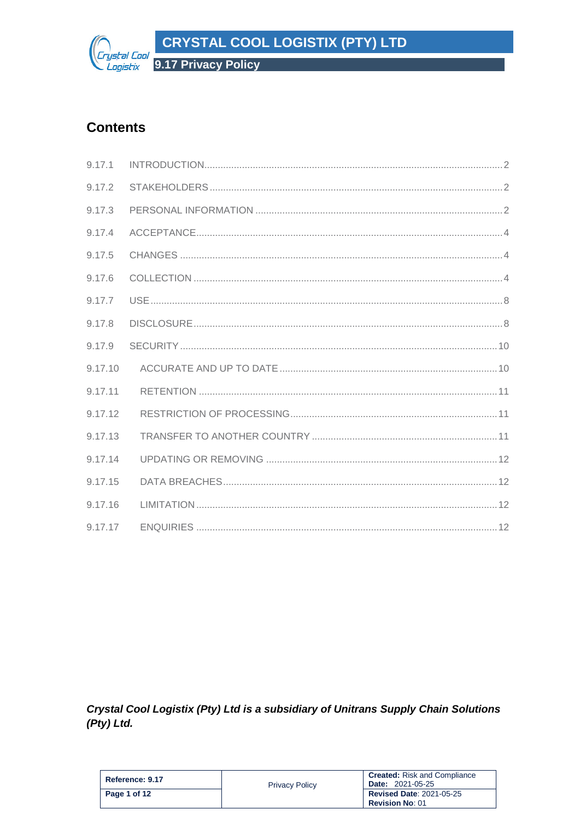**CRYSTAL COOL LOGISTIX (PTY) LTD** 



9.17 Privacy Policy

# **Contents**

| 9.17.1  |  |
|---------|--|
| 9.17.2  |  |
| 9.17.3  |  |
| 9.17.4  |  |
| 9.17.5  |  |
| 9.17.6  |  |
| 9.17.7  |  |
| 9.17.8  |  |
| 9.17.9  |  |
| 9.17.10 |  |
| 9.17.11 |  |
| 9.17.12 |  |
| 9.17.13 |  |
| 9.17.14 |  |
| 9.17.15 |  |
| 9.17.16 |  |
| 9.17.17 |  |

Crystal Cool Logistix (Pty) Ltd is a subsidiary of Unitrans Supply Chain Solutions  $($ Pty $)$  Ltd.

| Reference: 9.17 | <b>Privacy Policy</b> | <b>Created:</b> Risk and Compliance<br><b>Date: 2021-05-25</b> |
|-----------------|-----------------------|----------------------------------------------------------------|
| Page 1 of 12    |                       | <b>Revised Date: 2021-05-25</b><br><b>Revision No: 01</b>      |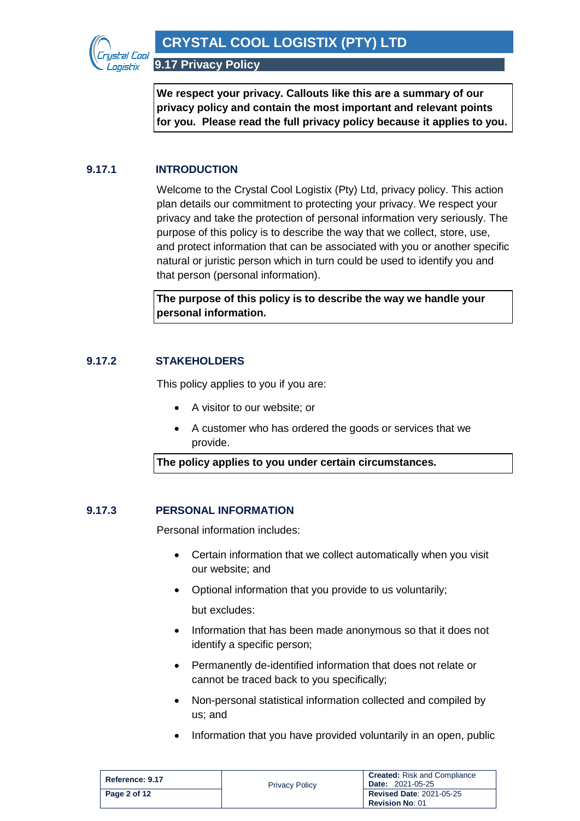

**We respect your privacy. Callouts like this are a summary of our privacy policy and contain the most important and relevant points for you. Please read the full privacy policy because it applies to you.**

### <span id="page-1-0"></span>**9.17.1 INTRODUCTION**

Welcome to the Crystal Cool Logistix (Pty) Ltd, privacy policy. This action plan details our commitment to protecting your privacy. We respect your privacy and take the protection of personal information very seriously. The purpose of this policy is to describe the way that we collect, store, use, and protect information that can be associated with you or another specific natural or juristic person which in turn could be used to identify you and that person (personal information).

**The purpose of this policy is to describe the way we handle your personal information.**

### <span id="page-1-1"></span>**9.17.2 STAKEHOLDERS**

This policy applies to you if you are:

- A visitor to our website; or
- A customer who has ordered the goods or services that we provide.

**The policy applies to you under certain circumstances.**

### <span id="page-1-2"></span>**9.17.3 PERSONAL INFORMATION**

Personal information includes:

- Certain information that we collect automatically when you visit our website; and
- Optional information that you provide to us voluntarily;

but excludes:

- Information that has been made anonymous so that it does not identify a specific person;
- Permanently de-identified information that does not relate or cannot be traced back to you specifically;
- Non-personal statistical information collected and compiled by us; and
- Information that you have provided voluntarily in an open, public

| Reference: 9.17 | <b>Privacy Policy</b> | <b>Created:</b> Risk and Compliance<br><b>Date: 2021-05-25</b> |
|-----------------|-----------------------|----------------------------------------------------------------|
| Page 2 of 12    |                       | <b>Revised Date: 2021-05-25</b><br><b>Revision No: 01</b>      |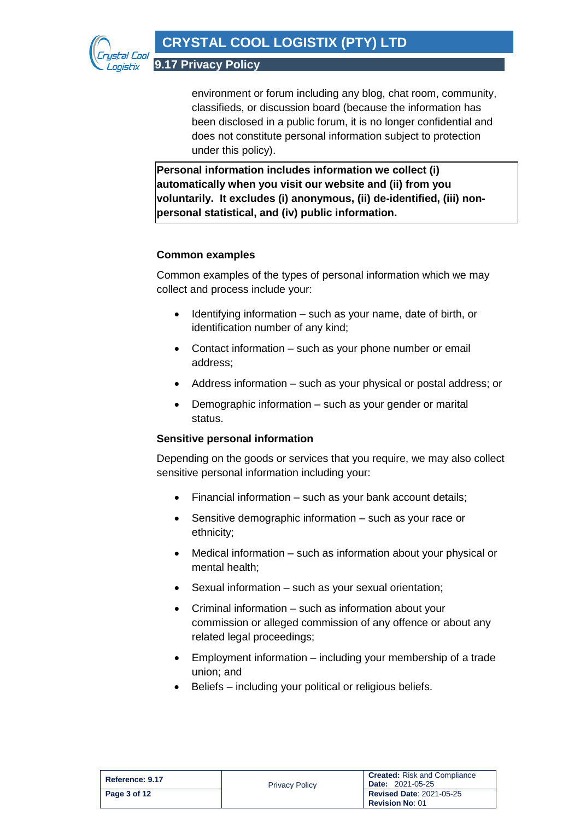

environment or forum including any blog, chat room, community, classifieds, or discussion board (because the information has been disclosed in a public forum, it is no longer confidential and does not constitute personal information subject to protection under this policy).

**Personal information includes information we collect (i) automatically when you visit our website and (ii) from you voluntarily. It excludes (i) anonymous, (ii) de-identified, (iii) nonpersonal statistical, and (iv) public information.**

### **Common examples**

Common examples of the types of personal information which we may collect and process include your:

- Identifying information such as your name, date of birth, or identification number of any kind;
- Contact information such as your phone number or email address;
- Address information such as your physical or postal address; or
- Demographic information such as your gender or marital status.

# **Sensitive personal information**

Depending on the goods or services that you require, we may also collect sensitive personal information including your:

- Financial information such as your bank account details;
- Sensitive demographic information such as your race or ethnicity;
- Medical information such as information about your physical or mental health;
- Sexual information such as your sexual orientation;
- Criminal information such as information about your commission or alleged commission of any offence or about any related legal proceedings;
- Employment information including your membership of a trade union; and
- Beliefs including your political or religious beliefs.

| Reference: 9.17 | <b>Privacy Policy</b> | <b>Created:</b> Risk and Compliance<br><b>Date: 2021-05-25</b> |
|-----------------|-----------------------|----------------------------------------------------------------|
| Page 3 of 12    |                       | <b>Revised Date: 2021-05-25</b><br><b>Revision No: 01</b>      |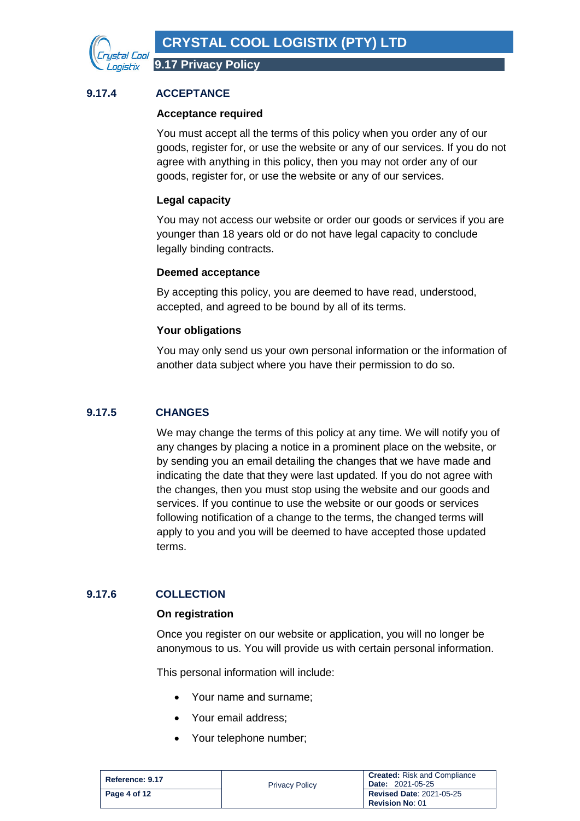# <span id="page-3-0"></span>**9.17.4 ACCEPTANCE**

### **Acceptance required**

You must accept all the terms of this policy when you order any of our goods, register for, or use the website or any of our services. If you do not agree with anything in this policy, then you may not order any of our goods, register for, or use the website or any of our services.

### **Legal capacity**

You may not access our website or order our goods or services if you are younger than 18 years old or do not have legal capacity to conclude legally binding contracts.

### **Deemed acceptance**

By accepting this policy, you are deemed to have read, understood, accepted, and agreed to be bound by all of its terms.

### **Your obligations**

You may only send us your own personal information or the information of another data subject where you have their permission to do so.

# <span id="page-3-1"></span>**9.17.5 CHANGES**

We may change the terms of this policy at any time. We will notify you of any changes by placing a notice in a prominent place on the website, or by sending you an email detailing the changes that we have made and indicating the date that they were last updated. If you do not agree with the changes, then you must stop using the website and our goods and services. If you continue to use the website or our goods or services following notification of a change to the terms, the changed terms will apply to you and you will be deemed to have accepted those updated terms.

# <span id="page-3-2"></span>**9.17.6 COLLECTION**

#### **On registration**

Once you register on our website or application, you will no longer be anonymous to us. You will provide us with certain personal information.

This personal information will include:

- Your name and surname;
- Your email address;
- Your telephone number;

| Reference: 9.17 | <b>Privacy Policy</b> | <b>Created:</b> Risk and Compliance<br><b>Date: 2021-05-25</b> |
|-----------------|-----------------------|----------------------------------------------------------------|
| Page 4 of 12    |                       | <b>Revised Date: 2021-05-25</b><br><b>Revision No: 01</b>      |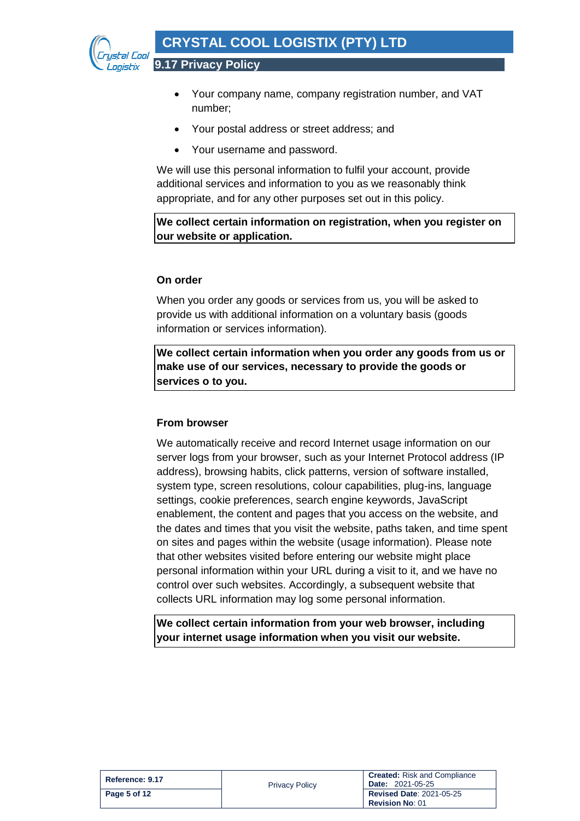

- Your company name, company registration number, and VAT number;
- Your postal address or street address; and
- Your username and password.

We will use this personal information to fulfil your account, provide additional services and information to you as we reasonably think appropriate, and for any other purposes set out in this policy.

**We collect certain information on registration, when you register on our website or application.**

### **On order**

When you order any goods or services from us, you will be asked to provide us with additional information on a voluntary basis (goods information or services information).

**We collect certain information when you order any goods from us or make use of our services, necessary to provide the goods or services o to you.**

### **From browser**

We automatically receive and record Internet usage information on our server logs from your browser, such as your Internet Protocol address (IP address), browsing habits, click patterns, version of software installed, system type, screen resolutions, colour capabilities, plug-ins, language settings, cookie preferences, search engine keywords, JavaScript enablement, the content and pages that you access on the website, and the dates and times that you visit the website, paths taken, and time spent on sites and pages within the website (usage information). Please note that other websites visited before entering our website might place personal information within your URL during a visit to it, and we have no control over such websites. Accordingly, a subsequent website that collects URL information may log some personal information.

**We collect certain information from your web browser, including your internet usage information when you visit our website.**

| Reference: 9.17 | <b>Privacy Policy</b> | <b>Created:</b> Risk and Compliance<br><b>Date: 2021-05-25</b> |
|-----------------|-----------------------|----------------------------------------------------------------|
| Page 5 of 12    |                       | <b>Revised Date: 2021-05-25</b><br><b>Revision No: 01</b>      |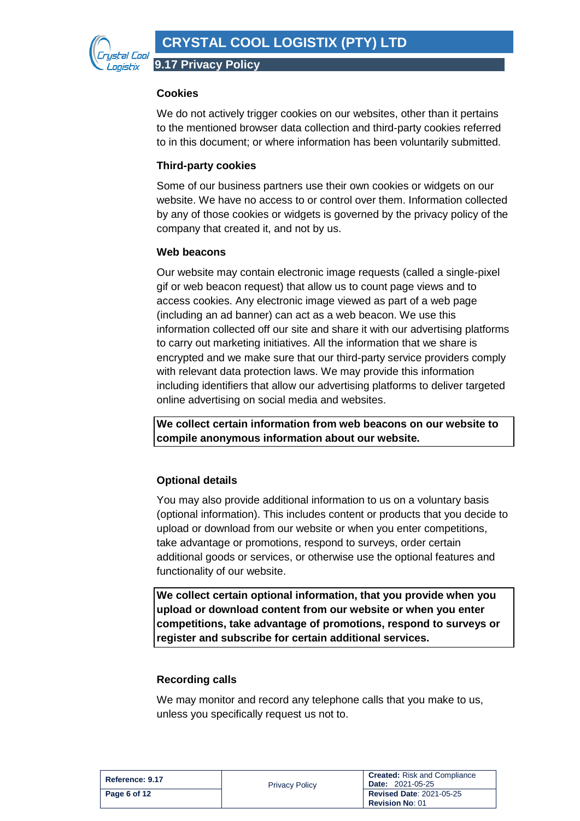

#### **Cookies**

We do not actively trigger cookies on our websites, other than it pertains to the mentioned browser data collection and third-party cookies referred to in this document; or where information has been voluntarily submitted.

### **Third-party cookies**

Some of our business partners use their own cookies or widgets on our website. We have no access to or control over them. Information collected by any of those cookies or widgets is governed by the privacy policy of the company that created it, and not by us.

### **Web beacons**

Our website may contain electronic image requests (called a single-pixel gif or web beacon request) that allow us to count page views and to access cookies. Any electronic image viewed as part of a web page (including an ad banner) can act as a web beacon. We use this information collected off our site and share it with our advertising platforms to carry out marketing initiatives. All the information that we share is encrypted and we make sure that our third-party service providers comply with relevant data protection laws. We may provide this information including identifiers that allow our advertising platforms to deliver targeted online advertising on social media and websites.

**We collect certain information from web beacons on our website to compile anonymous information about our website.**

### **Optional details**

You may also provide additional information to us on a voluntary basis (optional information). This includes content or products that you decide to upload or download from our website or when you enter competitions, take advantage or promotions, respond to surveys, order certain additional goods or services, or otherwise use the optional features and functionality of our website.

**We collect certain optional information, that you provide when you upload or download content from our website or when you enter competitions, take advantage of promotions, respond to surveys or register and subscribe for certain additional services.**

### **Recording calls**

We may monitor and record any telephone calls that you make to us, unless you specifically request us not to.

| Reference: 9.17 | <b>Privacy Policy</b> | <b>Created:</b> Risk and Compliance<br><b>Date: 2021-05-25</b> |
|-----------------|-----------------------|----------------------------------------------------------------|
| Page 6 of 12    |                       | <b>Revised Date: 2021-05-25</b><br><b>Revision No: 01</b>      |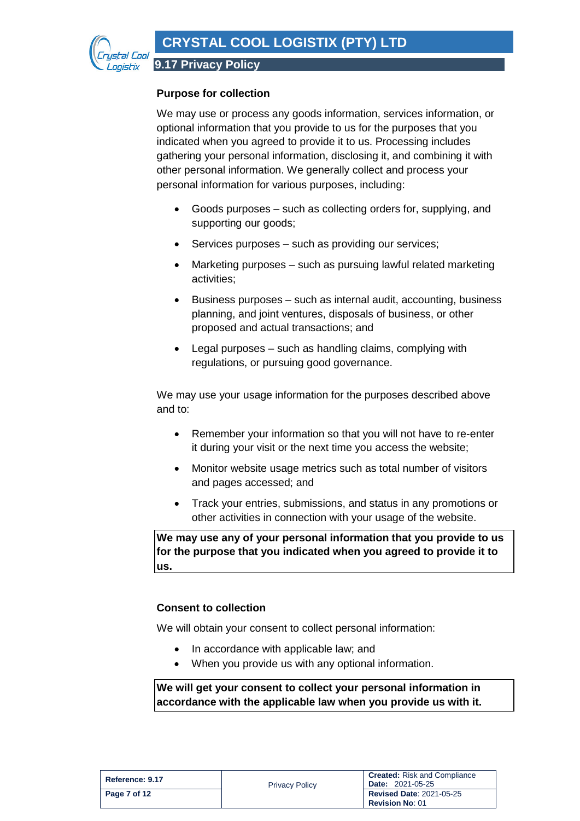

### **Purpose for collection**

We may use or process any goods information, services information, or optional information that you provide to us for the purposes that you indicated when you agreed to provide it to us. Processing includes gathering your personal information, disclosing it, and combining it with other personal information. We generally collect and process your personal information for various purposes, including:

- Goods purposes such as collecting orders for, supplying, and supporting our goods;
- Services purposes such as providing our services;
- Marketing purposes such as pursuing lawful related marketing activities;
- Business purposes such as internal audit, accounting, business planning, and joint ventures, disposals of business, or other proposed and actual transactions; and
- Legal purposes such as handling claims, complying with regulations, or pursuing good governance.

We may use your usage information for the purposes described above and to:

- Remember your information so that you will not have to re-enter it during your visit or the next time you access the website;
- Monitor website usage metrics such as total number of visitors and pages accessed; and
- Track your entries, submissions, and status in any promotions or other activities in connection with your usage of the website.

**We may use any of your personal information that you provide to us for the purpose that you indicated when you agreed to provide it to us.**

### **Consent to collection**

We will obtain your consent to collect personal information:

- In accordance with applicable law; and
- When you provide us with any optional information.

**We will get your consent to collect your personal information in accordance with the applicable law when you provide us with it.** 

| Reference: 9.17 | <b>Privacy Policy</b> | <b>Created:</b> Risk and Compliance<br><b>Date: 2021-05-25</b> |
|-----------------|-----------------------|----------------------------------------------------------------|
| Page 7 of 12    |                       | <b>Revised Date: 2021-05-25</b><br><b>Revision No: 01</b>      |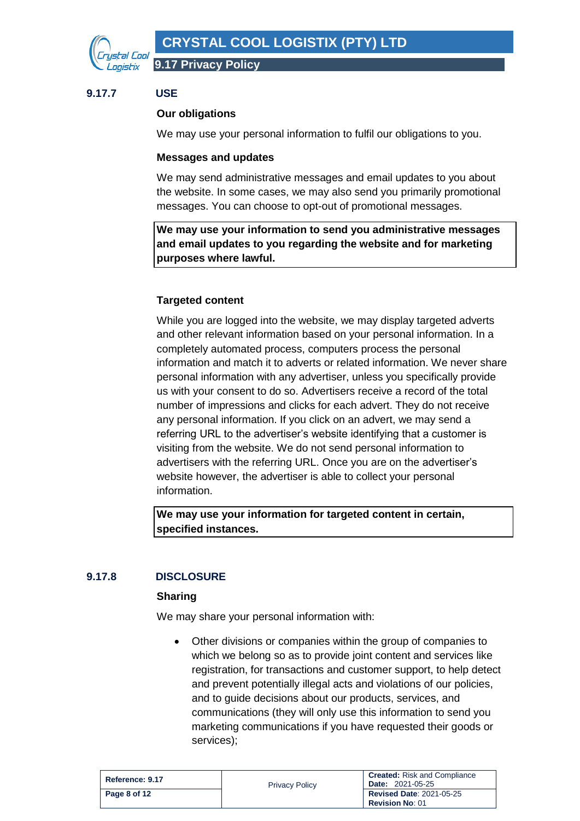

# <span id="page-7-0"></span>**9.17.7 USE**

### **Our obligations**

We may use your personal information to fulfil our obligations to you.

#### **Messages and updates**

We may send administrative messages and email updates to you about the website. In some cases, we may also send you primarily promotional messages. You can choose to opt-out of promotional messages.

**We may use your information to send you administrative messages and email updates to you regarding the website and for marketing purposes where lawful.**

### **Targeted content**

While you are logged into the website, we may display targeted adverts and other relevant information based on your personal information. In a completely automated process, computers process the personal information and match it to adverts or related information. We never share personal information with any advertiser, unless you specifically provide us with your consent to do so. Advertisers receive a record of the total number of impressions and clicks for each advert. They do not receive any personal information. If you click on an advert, we may send a referring URL to the advertiser's website identifying that a customer is visiting from the website. We do not send personal information to advertisers with the referring URL. Once you are on the advertiser's website however, the advertiser is able to collect your personal information.

**We may use your information for targeted content in certain, specified instances.**

# <span id="page-7-1"></span>**9.17.8 DISCLOSURE**

#### **Sharing**

We may share your personal information with:

• Other divisions or companies within the group of companies to which we belong so as to provide joint content and services like registration, for transactions and customer support, to help detect and prevent potentially illegal acts and violations of our policies, and to guide decisions about our products, services, and communications (they will only use this information to send you marketing communications if you have requested their goods or services);

| Reference: 9.17 | <b>Privacy Policy</b> | <b>Created:</b> Risk and Compliance<br><b>Date: 2021-05-25</b> |
|-----------------|-----------------------|----------------------------------------------------------------|
| Page 8 of 12    |                       | <b>Revised Date: 2021-05-25</b><br><b>Revision No: 01</b>      |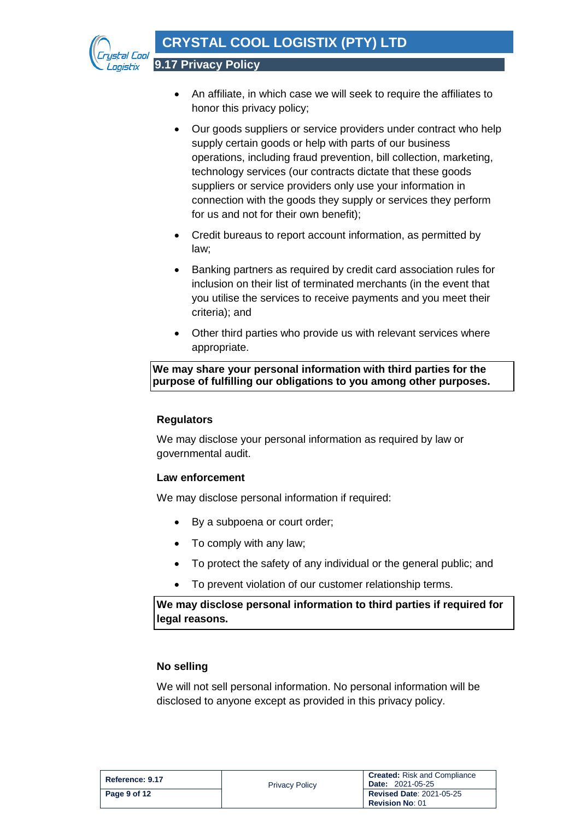

- An affiliate, in which case we will seek to require the affiliates to honor this privacy policy;
- Our goods suppliers or service providers under contract who help supply certain goods or help with parts of our business operations, including fraud prevention, bill collection, marketing, technology services (our contracts dictate that these goods suppliers or service providers only use your information in connection with the goods they supply or services they perform for us and not for their own benefit);
- Credit bureaus to report account information, as permitted by law;
- Banking partners as required by credit card association rules for inclusion on their list of terminated merchants (in the event that you utilise the services to receive payments and you meet their criteria); and
- Other third parties who provide us with relevant services where appropriate.

**We may share your personal information with third parties for the purpose of fulfilling our obligations to you among other purposes.**

# **Regulators**

We may disclose your personal information as required by law or governmental audit.

### **Law enforcement**

We may disclose personal information if required:

- By a subpoena or court order:
- To comply with any law;
- To protect the safety of any individual or the general public; and
- To prevent violation of our customer relationship terms.

**We may disclose personal information to third parties if required for legal reasons.**

### **No selling**

We will not sell personal information. No personal information will be disclosed to anyone except as provided in this privacy policy.

| Reference: 9.17 | <b>Privacy Policy</b> | <b>Created:</b> Risk and Compliance<br><b>Date: 2021-05-25</b> |
|-----------------|-----------------------|----------------------------------------------------------------|
| Page 9 of 12    |                       | <b>Revised Date: 2021-05-25</b><br><b>Revision No: 01</b>      |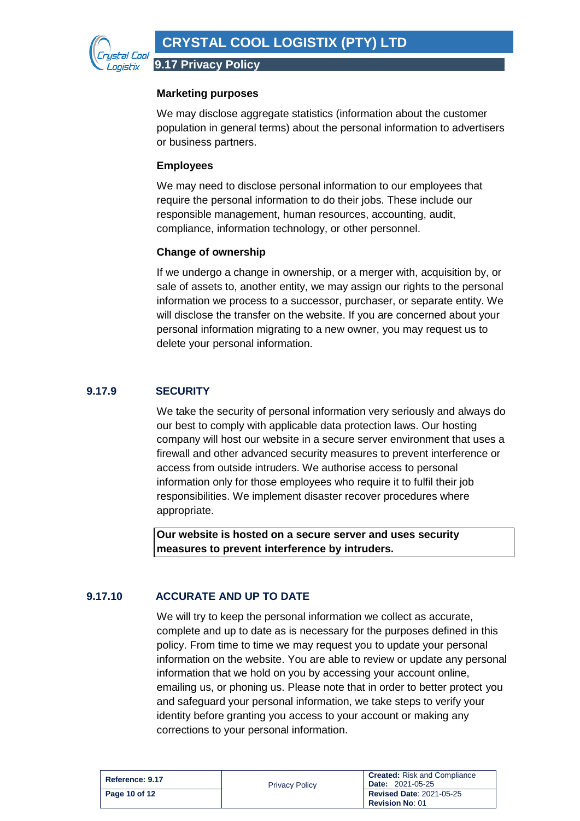

### **Marketing purposes**

We may disclose aggregate statistics (information about the customer population in general terms) about the personal information to advertisers or business partners.

### **Employees**

We may need to disclose personal information to our employees that require the personal information to do their jobs. These include our responsible management, human resources, accounting, audit, compliance, information technology, or other personnel.

### **Change of ownership**

If we undergo a change in ownership, or a merger with, acquisition by, or sale of assets to, another entity, we may assign our rights to the personal information we process to a successor, purchaser, or separate entity. We will disclose the transfer on the website. If you are concerned about your personal information migrating to a new owner, you may request us to delete your personal information.

### <span id="page-9-0"></span>**9.17.9 SECURITY**

We take the security of personal information very seriously and always do our best to comply with applicable data protection laws. Our hosting company will host our website in a secure server environment that uses a firewall and other advanced security measures to prevent interference or access from outside intruders. We authorise access to personal information only for those employees who require it to fulfil their job responsibilities. We implement disaster recover procedures where appropriate.

**Our website is hosted on a secure server and uses security measures to prevent interference by intruders.**

# <span id="page-9-1"></span>**9.17.10 ACCURATE AND UP TO DATE**

We will try to keep the personal information we collect as accurate, complete and up to date as is necessary for the purposes defined in this policy. From time to time we may request you to update your personal information on the website. You are able to review or update any personal information that we hold on you by accessing your account online, emailing us, or phoning us. Please note that in order to better protect you and safeguard your personal information, we take steps to verify your identity before granting you access to your account or making any corrections to your personal information.

| Reference: 9.17 | <b>Privacy Policy</b> | <b>Created:</b> Risk and Compliance<br><b>Date: 2021-05-25</b> |
|-----------------|-----------------------|----------------------------------------------------------------|
| Page 10 of 12   |                       | <b>Revised Date: 2021-05-25</b><br><b>Revision No: 01</b>      |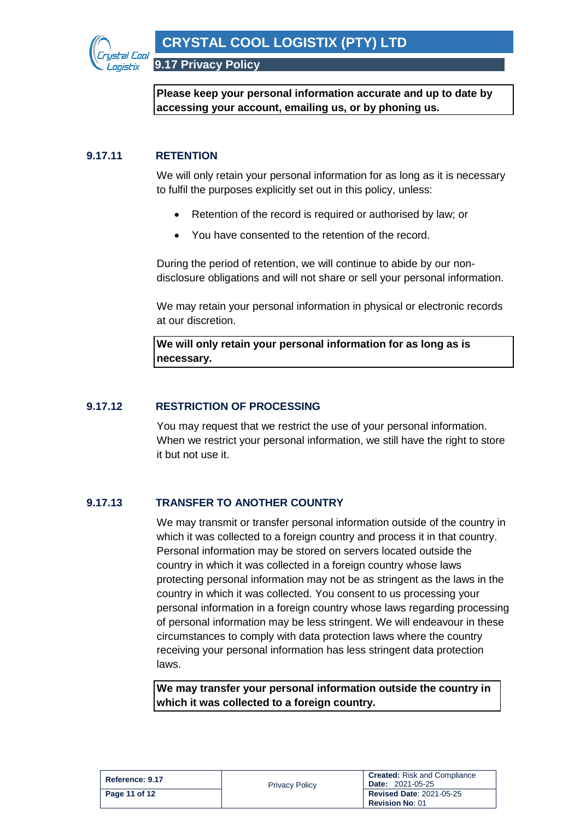

**Please keep your personal information accurate and up to date by accessing your account, emailing us, or by phoning us.**

### <span id="page-10-0"></span>**9.17.11 RETENTION**

We will only retain your personal information for as long as it is necessary to fulfil the purposes explicitly set out in this policy, unless:

- Retention of the record is required or authorised by law; or
- You have consented to the retention of the record.

During the period of retention, we will continue to abide by our nondisclosure obligations and will not share or sell your personal information.

We may retain your personal information in physical or electronic records at our discretion.

**We will only retain your personal information for as long as is necessary.**

# <span id="page-10-1"></span>**9.17.12 RESTRICTION OF PROCESSING**

You may request that we restrict the use of your personal information. When we restrict your personal information, we still have the right to store it but not use it.

# <span id="page-10-2"></span>**9.17.13 TRANSFER TO ANOTHER COUNTRY**

We may transmit or transfer personal information outside of the country in which it was collected to a foreign country and process it in that country. Personal information may be stored on servers located outside the country in which it was collected in a foreign country whose laws protecting personal information may not be as stringent as the laws in the country in which it was collected. You consent to us processing your personal information in a foreign country whose laws regarding processing of personal information may be less stringent. We will endeavour in these circumstances to comply with data protection laws where the country receiving your personal information has less stringent data protection laws.

**We may transfer your personal information outside the country in which it was collected to a foreign country.**

| Reference: 9.17 | <b>Privacy Policy</b> | <b>Created:</b> Risk and Compliance<br><b>Date: 2021-05-25</b> |
|-----------------|-----------------------|----------------------------------------------------------------|
| Page 11 of 12   |                       | <b>Revised Date: 2021-05-25</b><br><b>Revision No: 01</b>      |